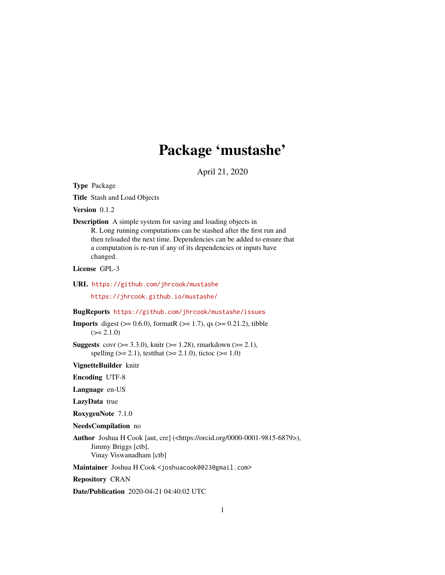# Package 'mustashe'

April 21, 2020

Type Package

Title Stash and Load Objects

Version 0.1.2

Description A simple system for saving and loading objects in R. Long running computations can be stashed after the first run and then reloaded the next time. Dependencies can be added to ensure that a computation is re-run if any of its dependencies or inputs have changed.

License GPL-3

URL <https://github.com/jhrcook/mustashe>

<https://jhrcook.github.io/mustashe/>

#### BugReports <https://github.com/jhrcook/mustashe/issues>

**Imports** digest ( $>= 0.6.0$ ), formatR ( $>= 1.7$ ), qs ( $>= 0.21.2$ ), tibble  $(>= 2.1.0)$ 

**Suggests** covr ( $>= 3.3.0$ ), knitr ( $>= 1.28$ ), rmarkdown ( $>= 2.1$ ), spelling ( $>= 2.1$ ), testthat ( $>= 2.1.0$ ), tictoc ( $>= 1.0$ )

VignetteBuilder knitr

Encoding UTF-8

Language en-US

LazyData true

RoxygenNote 7.1.0

NeedsCompilation no

Author Joshua H Cook [aut, cre] (<https://orcid.org/0000-0001-9815-6879>), Jimmy Briggs [ctb], Vinay Viswanadham [ctb]

Maintainer Joshua H Cook <joshuacook0023@gmail.com>

Repository CRAN

Date/Publication 2020-04-21 04:40:02 UTC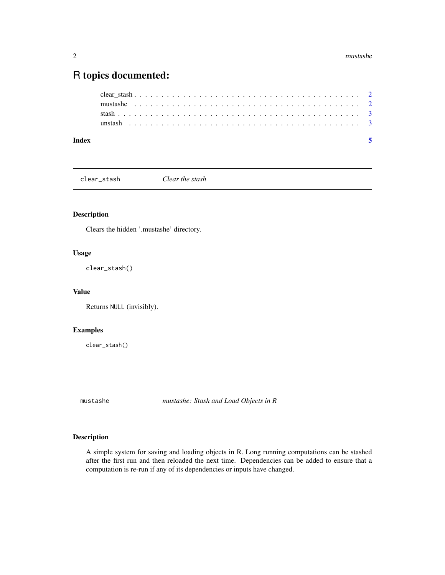# <span id="page-1-0"></span>R topics documented:

| Index |  |  |  |  |  |  |  |  |  |  |  |  |  |  |  |  |  |  |  |  |  |  |
|-------|--|--|--|--|--|--|--|--|--|--|--|--|--|--|--|--|--|--|--|--|--|--|
|       |  |  |  |  |  |  |  |  |  |  |  |  |  |  |  |  |  |  |  |  |  |  |
|       |  |  |  |  |  |  |  |  |  |  |  |  |  |  |  |  |  |  |  |  |  |  |
|       |  |  |  |  |  |  |  |  |  |  |  |  |  |  |  |  |  |  |  |  |  |  |
|       |  |  |  |  |  |  |  |  |  |  |  |  |  |  |  |  |  |  |  |  |  |  |

clear\_stash *Clear the stash*

#### Description

Clears the hidden '.mustashe' directory.

#### Usage

clear\_stash()

#### Value

Returns NULL (invisibly).

#### Examples

clear\_stash()

mustashe *mustashe: Stash and Load Objects in R*

#### Description

A simple system for saving and loading objects in R. Long running computations can be stashed after the first run and then reloaded the next time. Dependencies can be added to ensure that a computation is re-run if any of its dependencies or inputs have changed.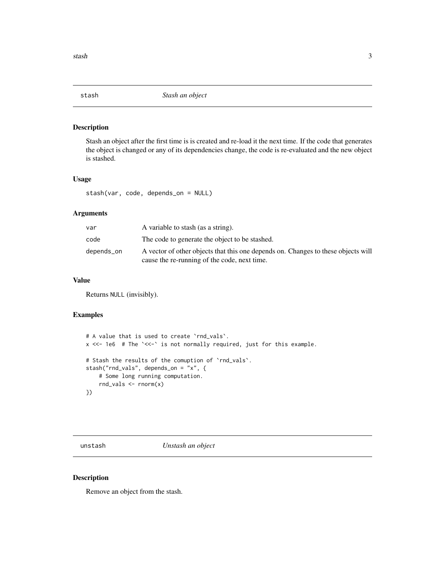<span id="page-2-0"></span>

#### Description

Stash an object after the first time is is created and re-load it the next time. If the code that generates the object is changed or any of its dependencies change, the code is re-evaluated and the new object is stashed.

#### Usage

stash(var, code, depends\_on = NULL)

#### Arguments

| var         | A variable to stash (as a string).                                                                                                |
|-------------|-----------------------------------------------------------------------------------------------------------------------------------|
| code        | The code to generate the object to be stashed.                                                                                    |
| depends_on_ | A vector of other objects that this one depends on. Changes to these objects will<br>cause the re-running of the code, next time. |

#### Value

Returns NULL (invisibly).

#### Examples

```
# A value that is used to create `rnd_vals`.
x <<- 1e6 # The `<<-` is not normally required, just for this example.
# Stash the results of the comuption of `rnd_vals`.
stash("rnd_vals", depends_on = "x", {
    # Some long running computation.
   rnd_vals <- rnorm(x)
})
```
unstash *Unstash an object*

#### Description

Remove an object from the stash.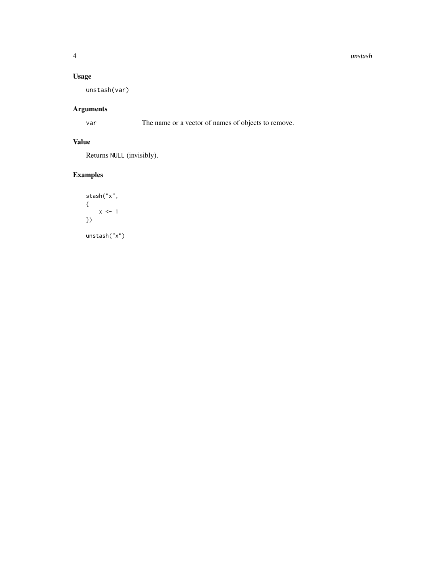#### 4 unstash

#### Usage

unstash(var)

## Arguments

var The name or a vector of names of objects to remove.

#### Value

Returns NULL (invisibly).

## Examples

```
stash("x",
{
    x \le -1})
unstash("x")
```